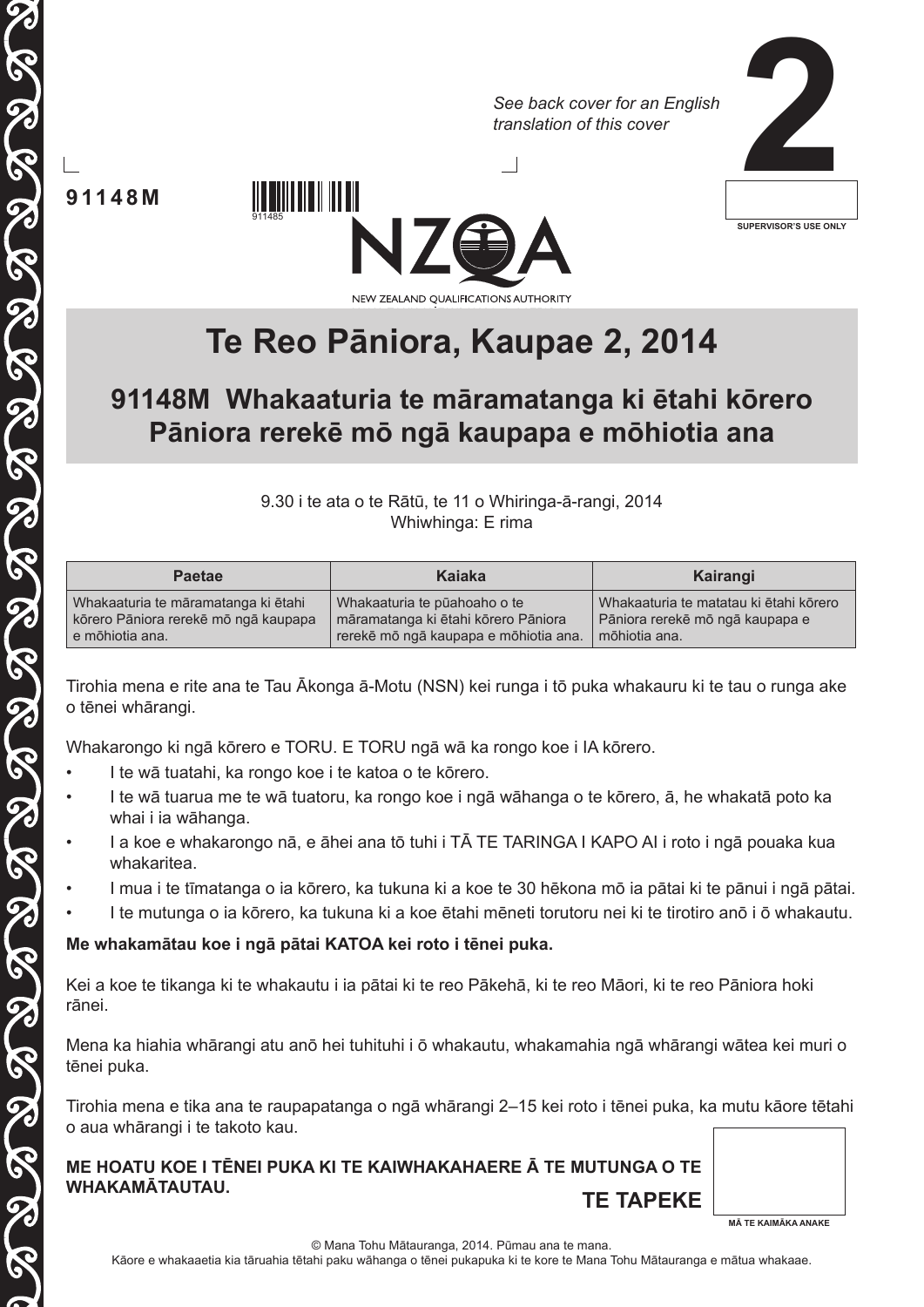*See back cover for an English translation of this cover*



**91148M**

**CONS** 

THE I THE ISLAM THE ISLAM THE ISLAM THE

6



# **Te Reo Pāniora, Kaupae 2, 2014**

# **91148M Whakaaturia te māramatanga ki ētahi kōrero Pāniora rerekē mō ngā kaupapa e mōhiotia ana**

9.30 i te ata o te Rātū, te 11 o Whiringa-ā-rangi, 2014 Whiwhinga: E rima

| <b>Paetae</b>                        | Kaiaka                                | Kairangi                               |
|--------------------------------------|---------------------------------------|----------------------------------------|
| Whakaaturia te māramatanga ki ētahi  | Whakaaturia te pūahoaho o te          | Whakaaturia te matatau ki ētahi kōrero |
| kōrero Pāniora rerekē mō ngā kaupapa | māramatanga ki ētahi kōrero Pāniora   | Pāniora rerekē mō ngā kaupapa e        |
| e mõhiotia ana.                      | rerekē mō ngā kaupapa e mōhiotia ana. | mõhiotia ana.                          |

Tirohia mena e rite ana te Tau Ākonga ā-Motu (NSN) kei runga i tō puka whakauru ki te tau o runga ake o tēnei whārangi.

Whakarongo ki ngā kōrero e TORU. E TORU ngā wā ka rongo koe i IA kōrero.

• I te wā tuatahi, ka rongo koe i te katoa o te kōrero.

911485

- I te wā tuarua me te wā tuatoru, ka rongo koe i ngā wāhanga o te kōrero, ā, he whakatā poto ka whai i ia wāhanga.
- I a koe e whakarongo nā, e āhei ana tō tuhi i TĀ TE TARINGA I KAPO AI i roto i ngā pouaka kua whakaritea.
- I mua i te tīmatanga o ia kōrero, ka tukuna ki a koe te 30 hēkona mō ia pātai ki te pānui i ngā pātai.
- I te mutunga o ia kōrero, ka tukuna ki a koe ētahi mēneti torutoru nei ki te tirotiro anō i ō whakautu.

#### **Me whakamātau koe i ngā pātai KATOA kei roto i tēnei puka.**

Kei a koe te tikanga ki te whakautu i ia pātai ki te reo Pākehā, ki te reo Māori, ki te reo Pāniora hoki rānei.

Mena ka hiahia whārangi atu anō hei tuhituhi i ō whakautu, whakamahia ngā whārangi wātea kei muri o tēnei puka.

Tirohia mena e tika ana te raupapatanga o ngā whārangi 2–15 kei roto i tēnei puka, ka mutu kāore tētahi o aua whārangi i te takoto kau.

**ME HOATU KOE I TĒNEI PUKA KI TE KAIWHAKAHAERE Ā TE MUTUNGA O TE WHAKAMĀTAUTAU. TE TAPEKE**



© Mana Tohu Mātauranga, 2014. Pūmau ana te mana.

Kāore e whakaaetia kia tāruahia tētahi paku wāhanga o tēnei pukapuka ki te kore te Mana Tohu Mātauranga e mātua whakaae.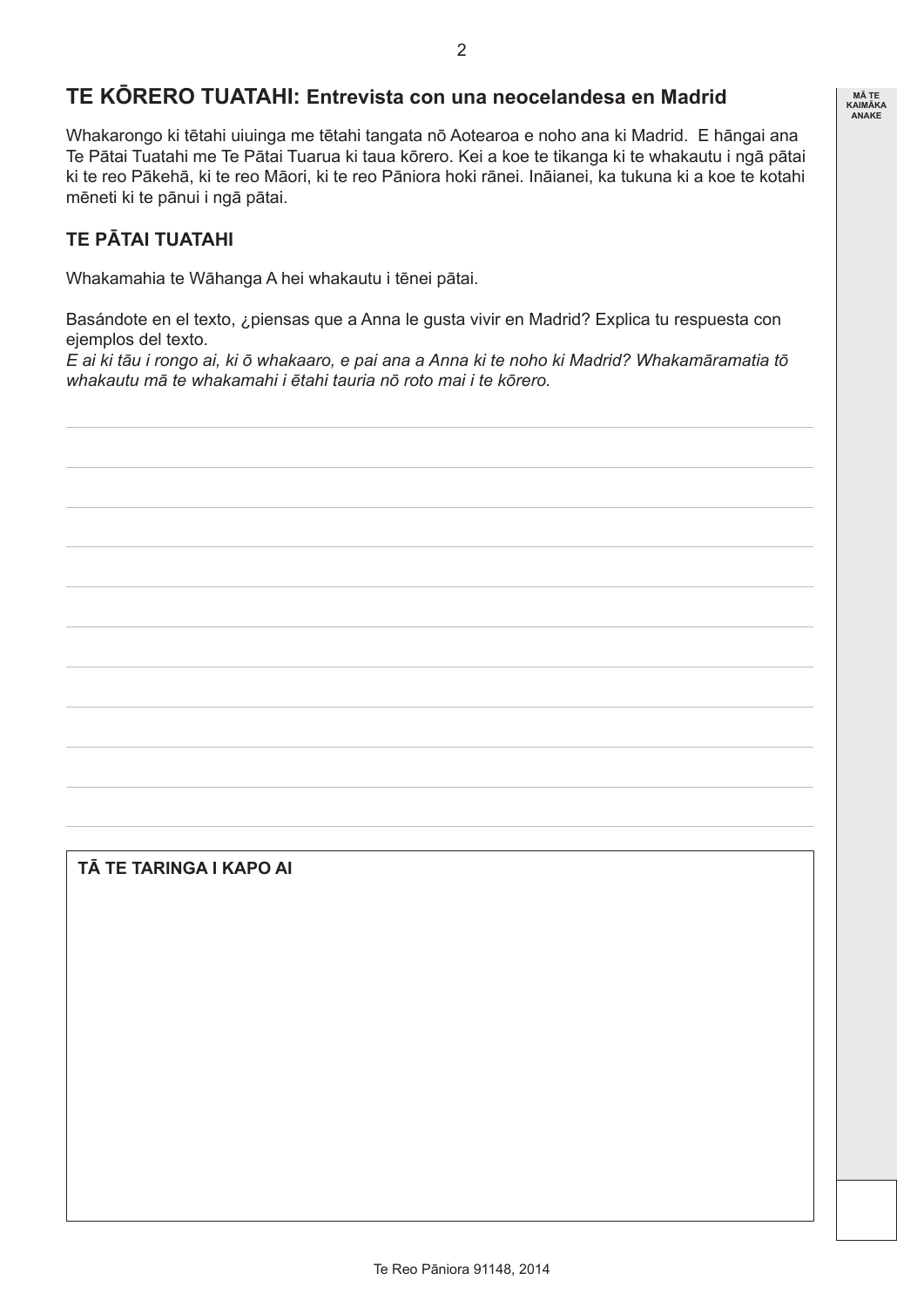# **TE KŌRERO TUATAHI: Entrevista con una neocelandesa en Madrid**

Whakarongo ki tētahi uiuinga me tētahi tangata nō Aotearoa e noho ana ki Madrid. E hāngai ana Te Pātai Tuatahi me Te Pātai Tuarua ki taua kōrero. Kei a koe te tikanga ki te whakautu i ngā pātai ki te reo Pākehā, ki te reo Māori, ki te reo Pāniora hoki rānei. Ināianei, ka tukuna ki a koe te kotahi mēneti ki te pānui i ngā pātai.

#### **TE PĀTAI TUATAHI**

Whakamahia te Wāhanga A hei whakautu i tēnei pātai.

Basándote en el texto, ¿piensas que a Anna le gusta vivir en Madrid? Explica tu respuesta con ejemplos del texto.

*E ai ki tāu i rongo ai, ki ō whakaaro, e pai ana a Anna ki te noho ki Madrid? Whakamāramatia tō whakautu mā te whakamahi i ētahi tauria nō roto mai i te kōrero.*

#### **TĀ TE TARINGA I KAPO AI**

**MĀ TE KAIMĀKA ANAKE**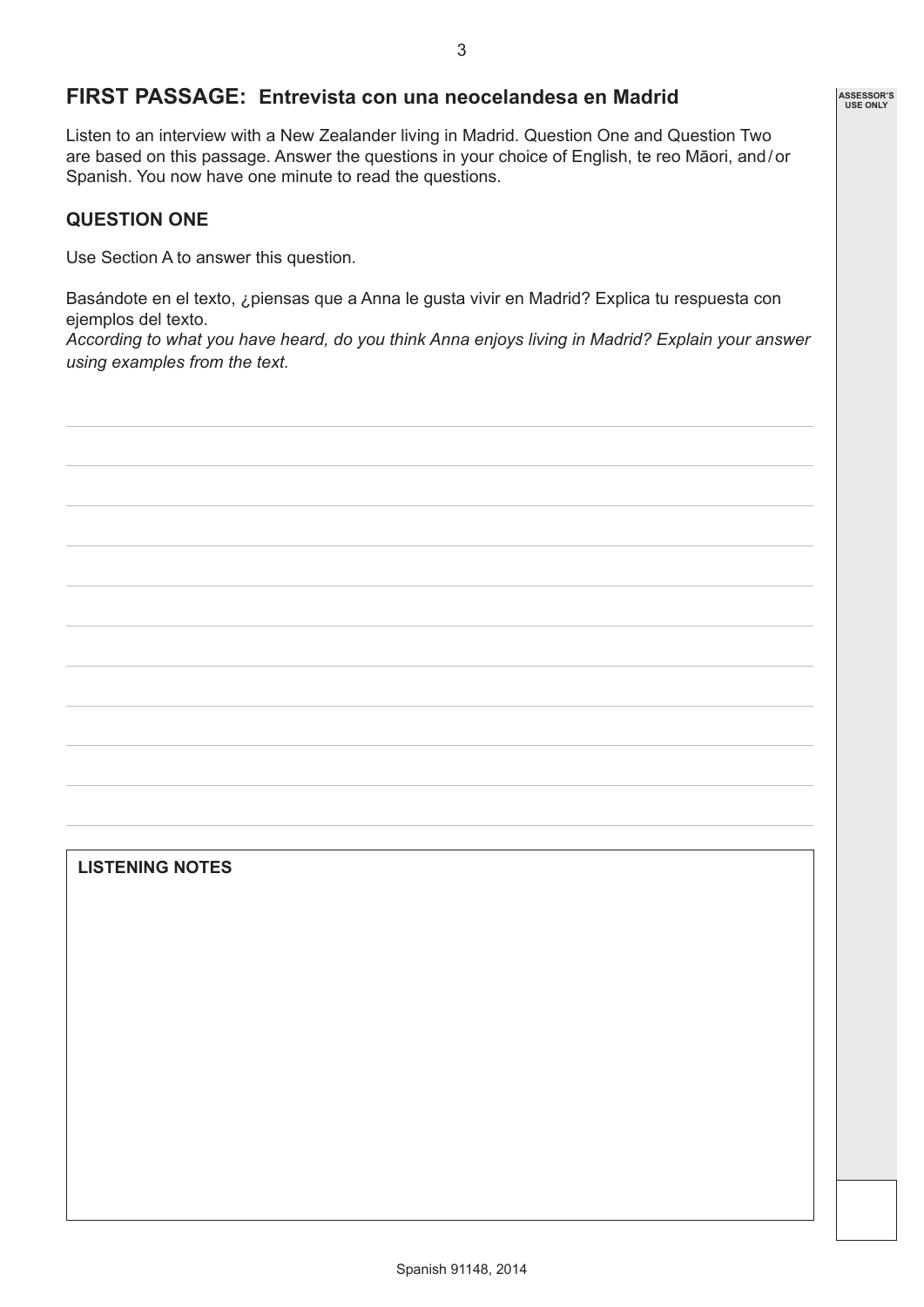#### **FIRST PASSAGE: Entrevista con una neocelandesa en Madrid**

Listen to an interview with a New Zealander living in Madrid. Question One and Question Two are based on this passage. Answer the questions in your choice of English, te reo Māori, and/or Spanish. You now have one minute to read the questions.

#### **QUESTION ONE**

Use Section A to answer this question.

Basándote en el texto, ¿piensas que a Anna le gusta vivir en Madrid? Explica tu respuesta con ejemplos del texto.

*According to what you have heard, do you think Anna enjoys living in Madrid? Explain your answer using examples from the text.* 

#### **LISTENING NOTES**

**ASSESSOR'S USE ONLY**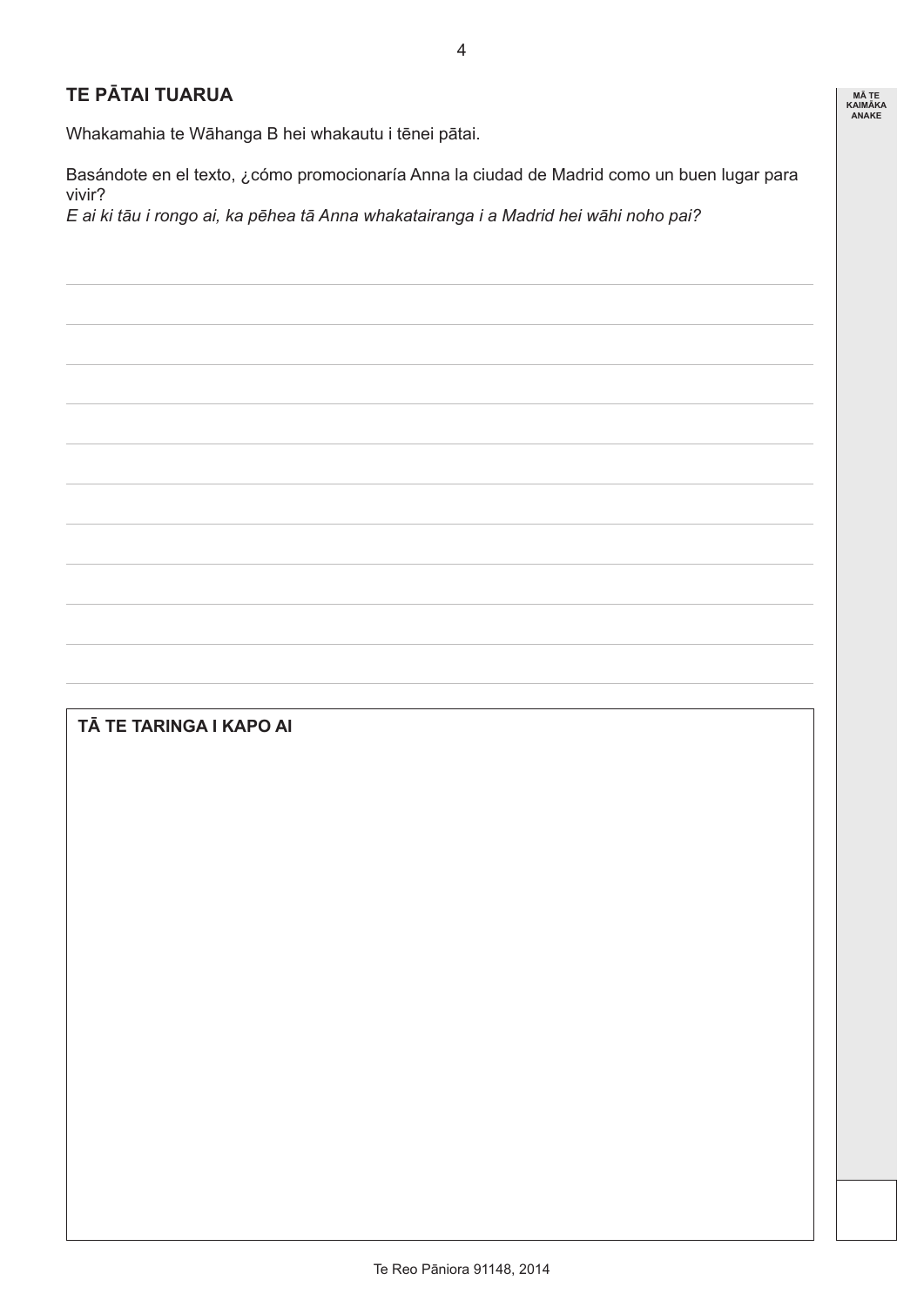### **TE PĀTAI TUARUA**

Whakamahia te Wāhanga B hei whakautu i tēnei pātai.

Basándote en el texto, ¿cómo promocionaría Anna la ciudad de Madrid como un buen lugar para vivir?

*E ai ki tāu i rongo ai, ka pēhea tā Anna whakatairanga i a Madrid hei wāhi noho pai?* 

# **TĀ TE TARINGA I KAPO AI**

**MĀ TE KAIMĀKA ANAKE**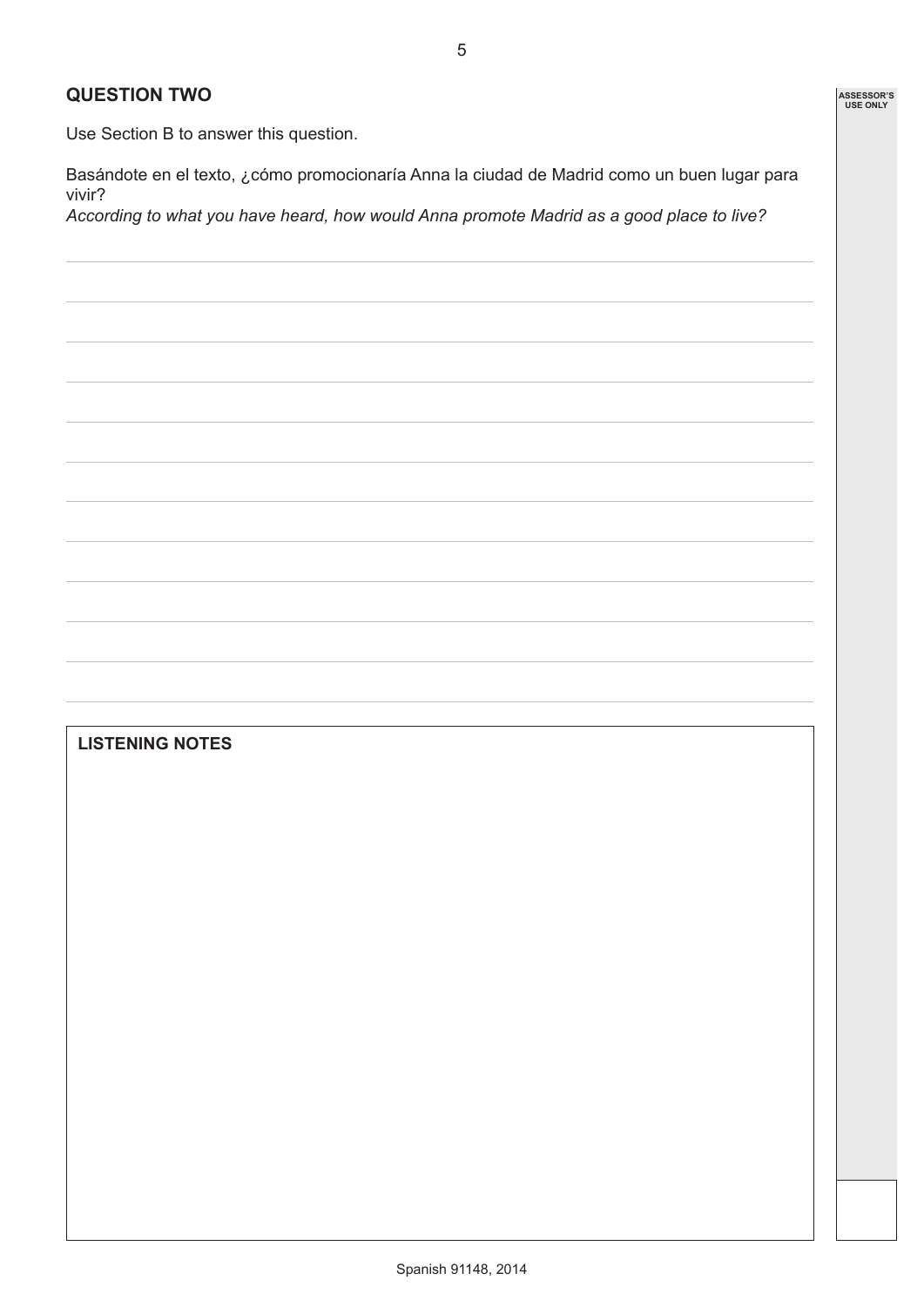#### **QUESTION TWO**

Use Section B to answer this question.

Basándote en el texto, ¿cómo promocionaría Anna la ciudad de Madrid como un buen lugar para vivir?

*According to what you have heard, how would Anna promote Madrid as a good place to live?*

### **LISTENING NOTES**

**ASSESSOR'S USE ONLY**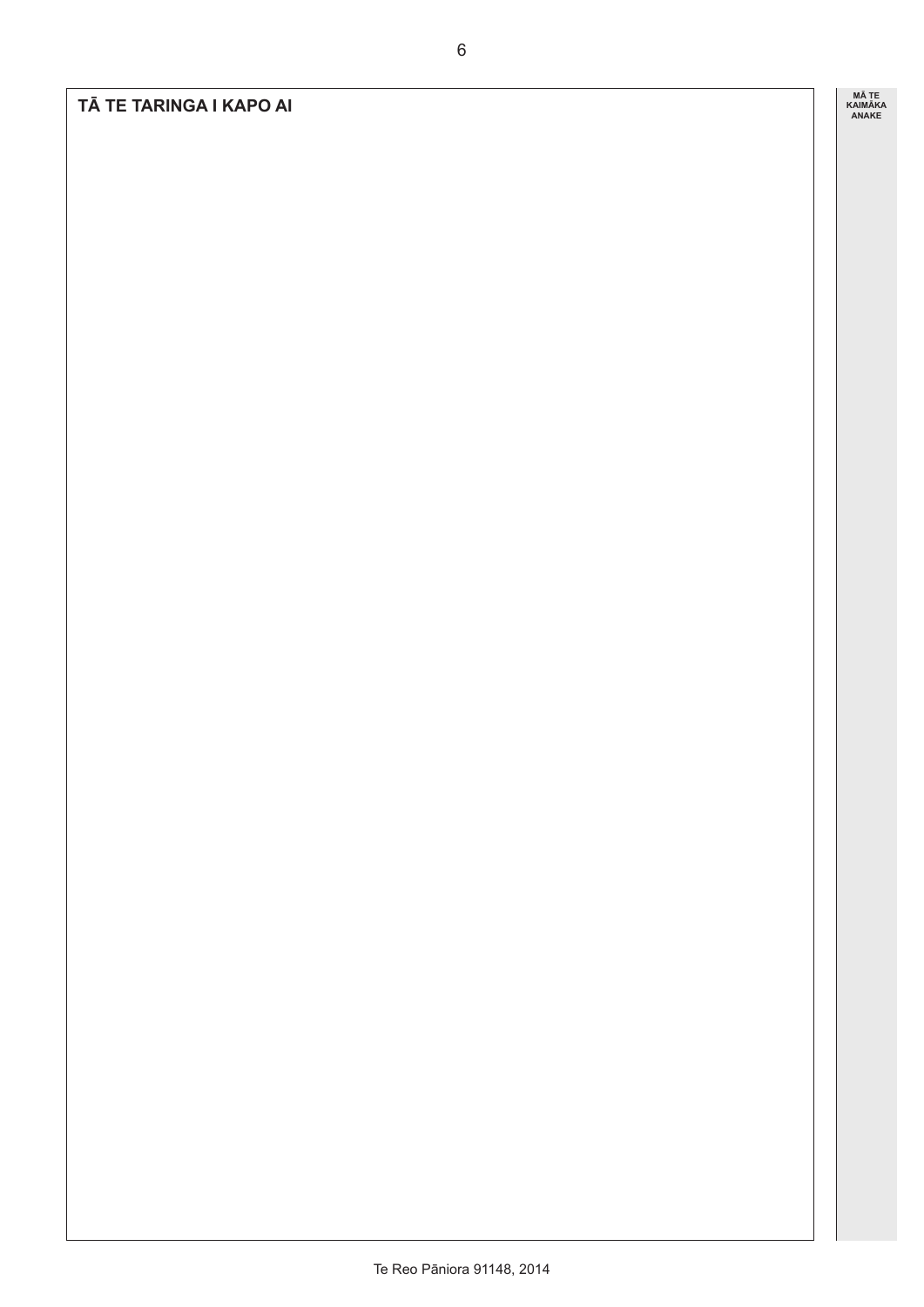**TĀ TE TARINGA I KAPO AI**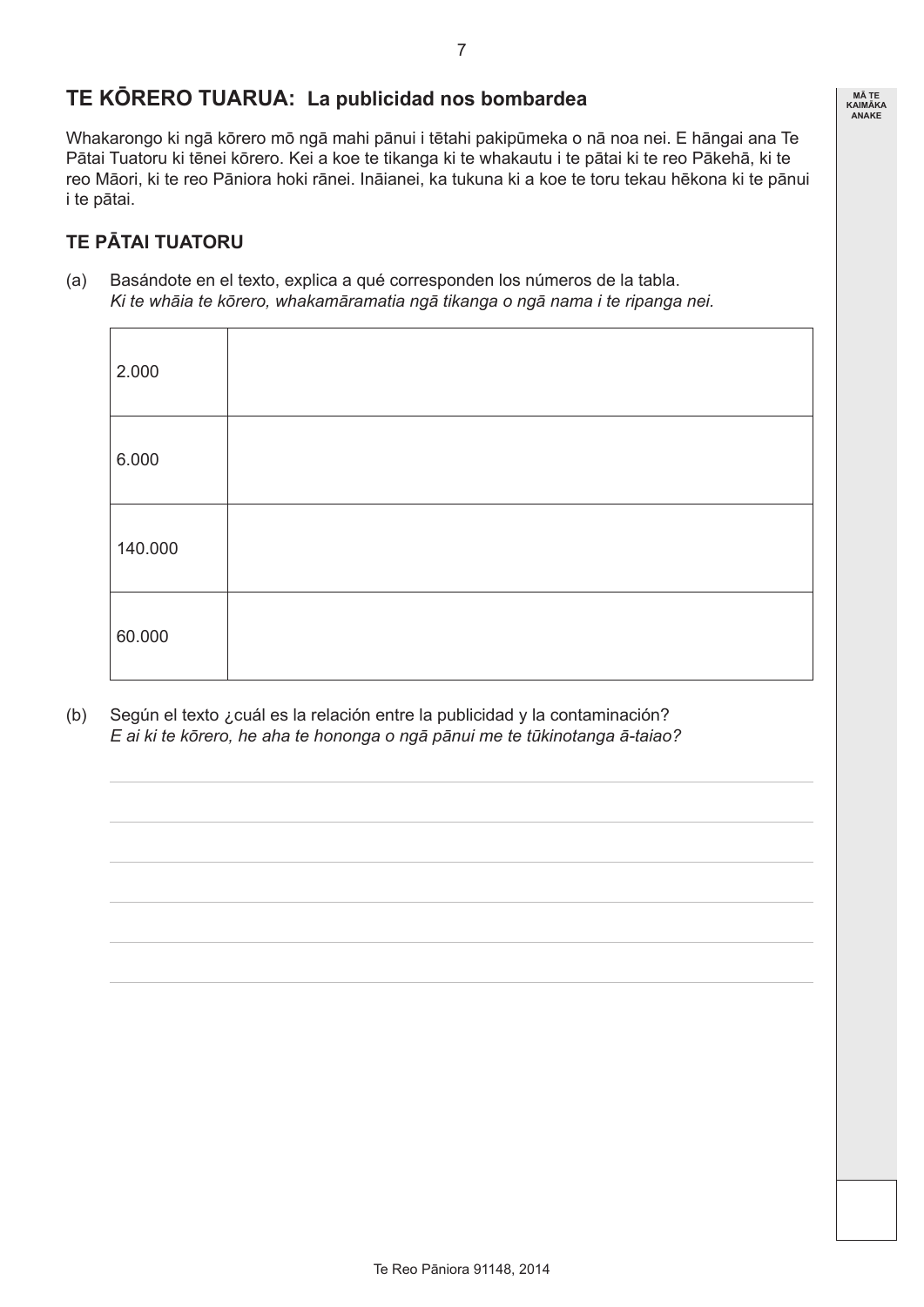# **TE KŌRERO TUARUA: La publicidad nos bombardea**

Whakarongo ki ngā kōrero mō ngā mahi pānui i tētahi pakipūmeka o nā noa nei. E hāngai ana Te Pātai Tuatoru ki tēnei kōrero. Kei a koe te tikanga ki te whakautu i te pātai ki te reo Pākehā, ki te reo Māori, ki te reo Pāniora hoki rānei. Ināianei, ka tukuna ki a koe te toru tekau hēkona ki te pānui i te pātai.

# **TE PĀTAI TUATORU**

(a) Basándote en el texto, explica a qué corresponden los números de la tabla. *Ki te whāia te kōrero, whakamāramatia ngā tikanga o ngā nama i te ripanga nei.*

| 2.000   |  |
|---------|--|
| 6.000   |  |
| 140.000 |  |
| 60.000  |  |

(b) Según el texto ¿cuál es la relación entre la publicidad y la contaminación? *E ai ki te kōrero, he aha te hononga o ngā pānui me te tūkinotanga ā-taiao?*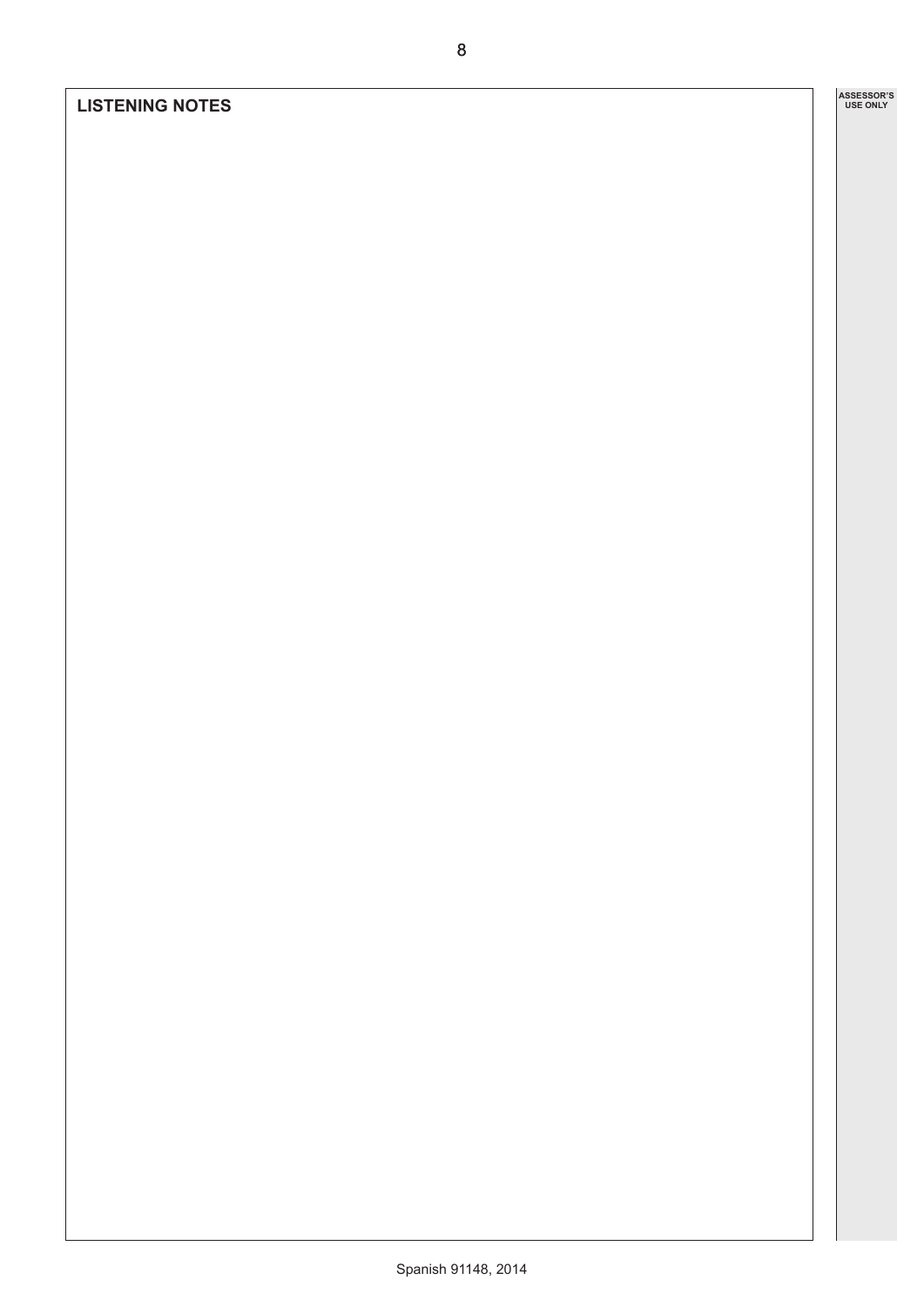#### **LISTENING NOTES**

**ASSESSOR'S USE ONLY ASSESSOR'S** 

8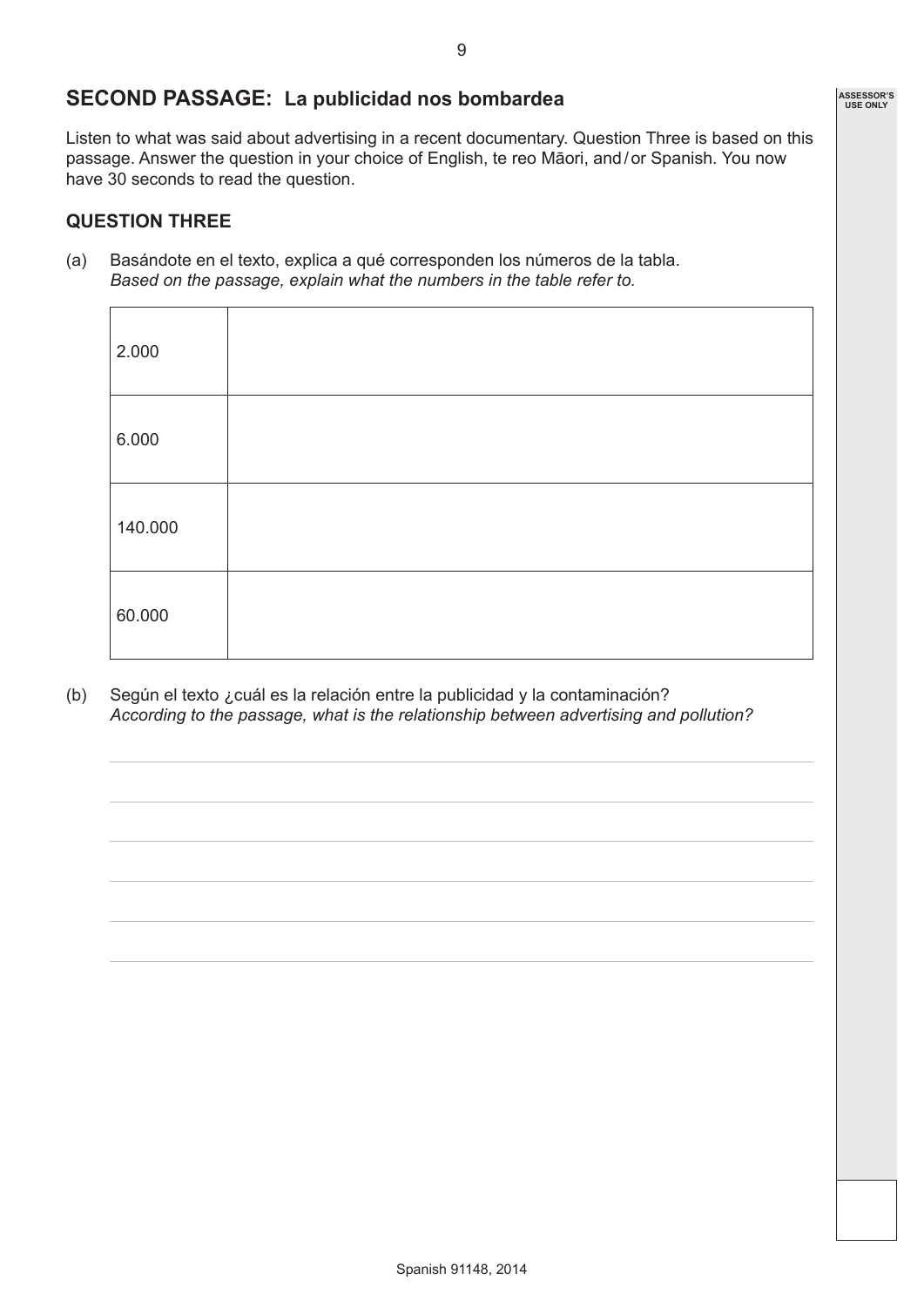### **SECOND PASSAGE: La publicidad nos bombardea**

Listen to what was said about advertising in a recent documentary. Question Three is based on this passage. Answer the question in your choice of English, te reo Māori, and/or Spanish. You now have 30 seconds to read the question.

#### **QUESTION THREE**

(a) Basándote en el texto, explica a qué corresponden los números de la tabla. *Based on the passage, explain what the numbers in the table refer to.*

| 2.000   |  |
|---------|--|
| 6.000   |  |
| 140.000 |  |
| 60.000  |  |

(b) Según el texto ¿cuál es la relación entre la publicidad y la contaminación? *According to the passage, what is the relationship between advertising and pollution?*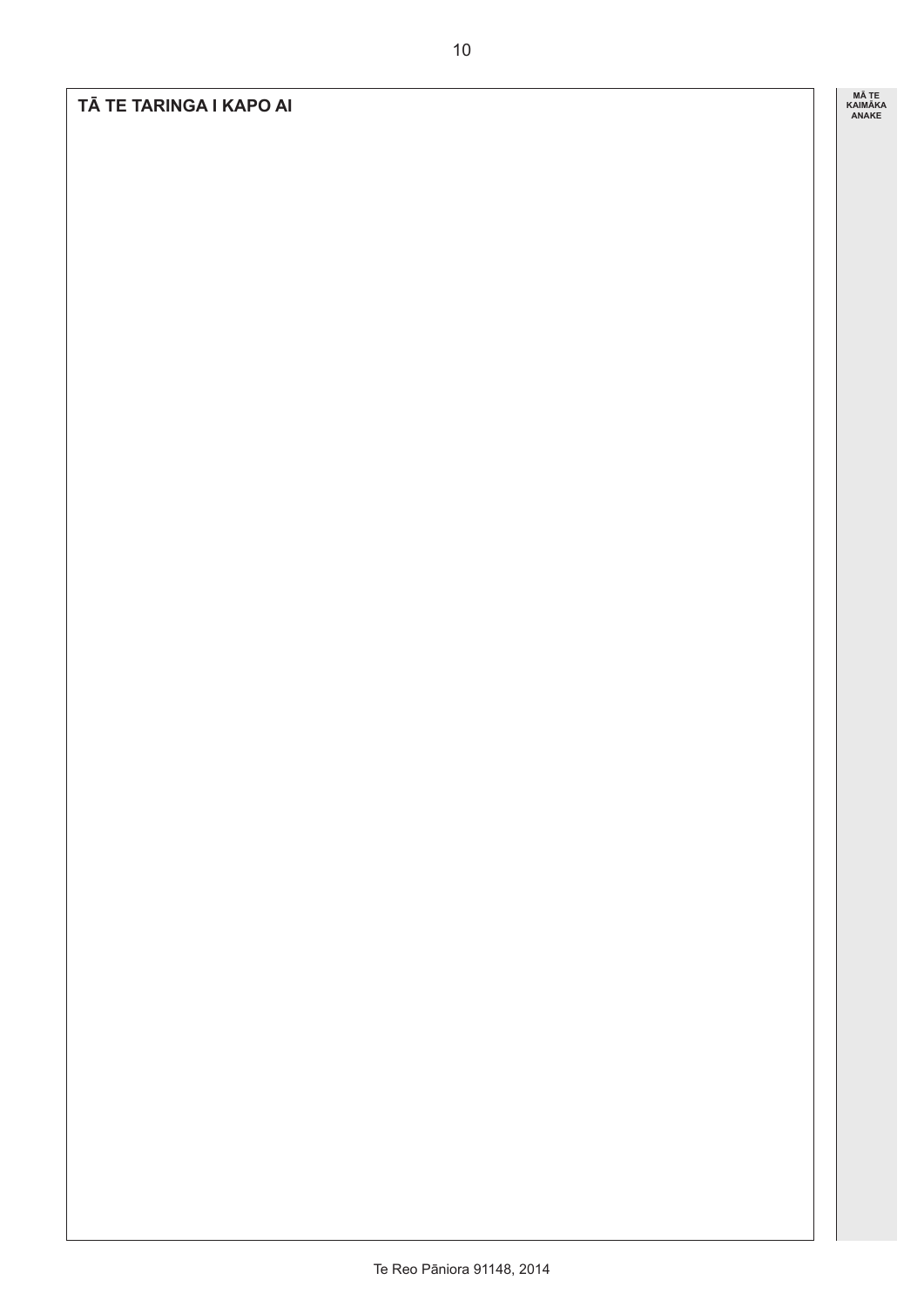#### **TĀ TE TARINGA I KAPO AI**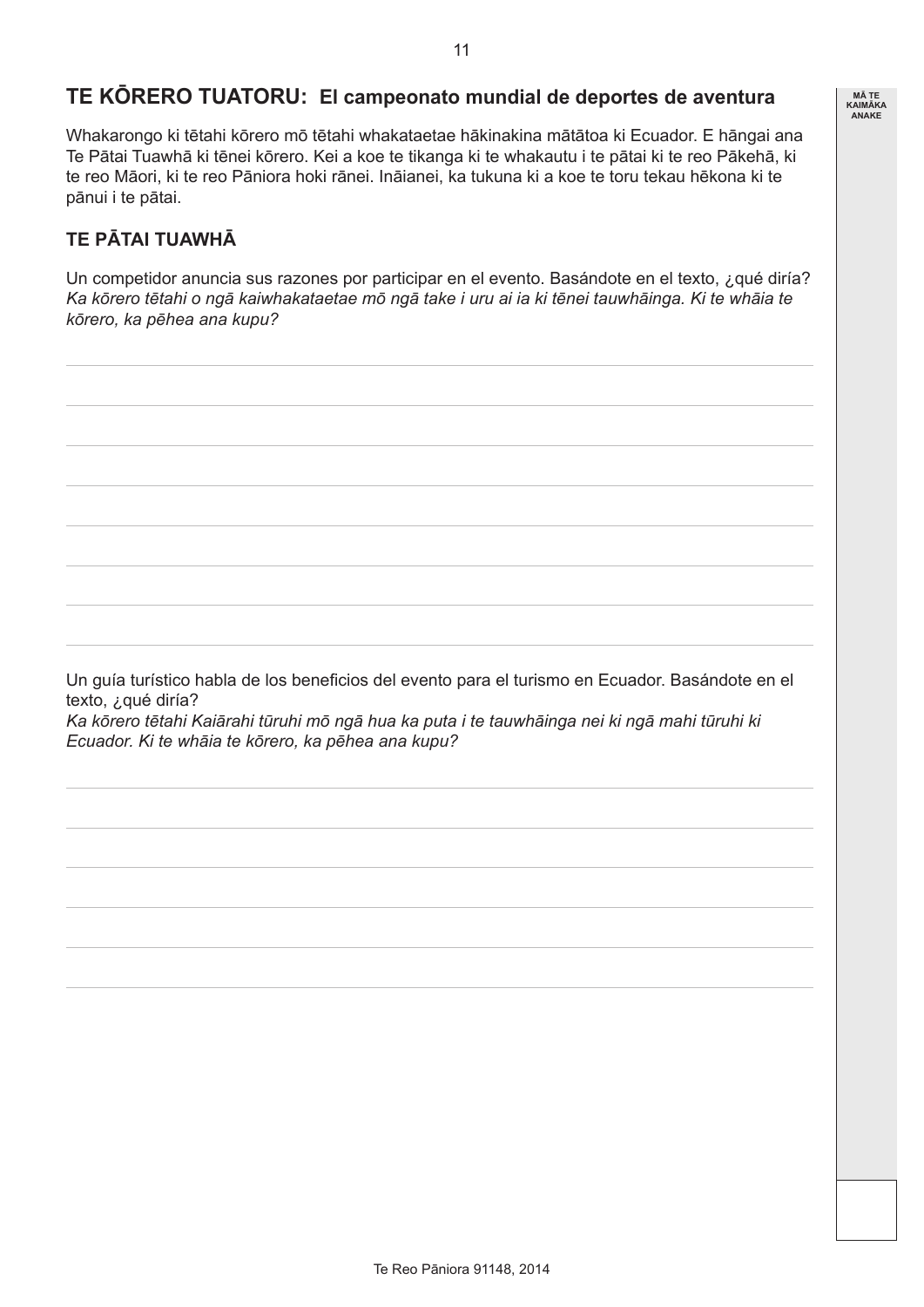## **TE KŌRERO TUATORU: El campeonato mundial de deportes de aventura**

Whakarongo ki tētahi kōrero mō tētahi whakataetae hākinakina mātātoa ki Ecuador. E hāngai ana Te Pātai Tuawhā ki tēnei kōrero. Kei a koe te tikanga ki te whakautu i te pātai ki te reo Pākehā, ki te reo Māori, ki te reo Pāniora hoki rānei. Ināianei, ka tukuna ki a koe te toru tekau hēkona ki te pānui i te pātai.

# **TE PĀTAI TUAWHĀ**

Un competidor anuncia sus razones por participar en el evento. Basándote en el texto, ¿qué diría? *Ka kōrero tētahi o ngā kaiwhakataetae mō ngā take i uru ai ia ki tēnei tauwhāinga. Ki te whāia te kōrero, ka pēhea ana kupu?* 

Un guía turístico habla de los beneficios del evento para el turismo en Ecuador. Basándote en el texto, ¿qué diría?

*Ka kōrero tētahi Kaiārahi tūruhi mō ngā hua ka puta i te tauwhāinga nei ki ngā mahi tūruhi ki Ecuador. Ki te whāia te kōrero, ka pēhea ana kupu?*

**MĀ TE KAIMĀKA ANAKE**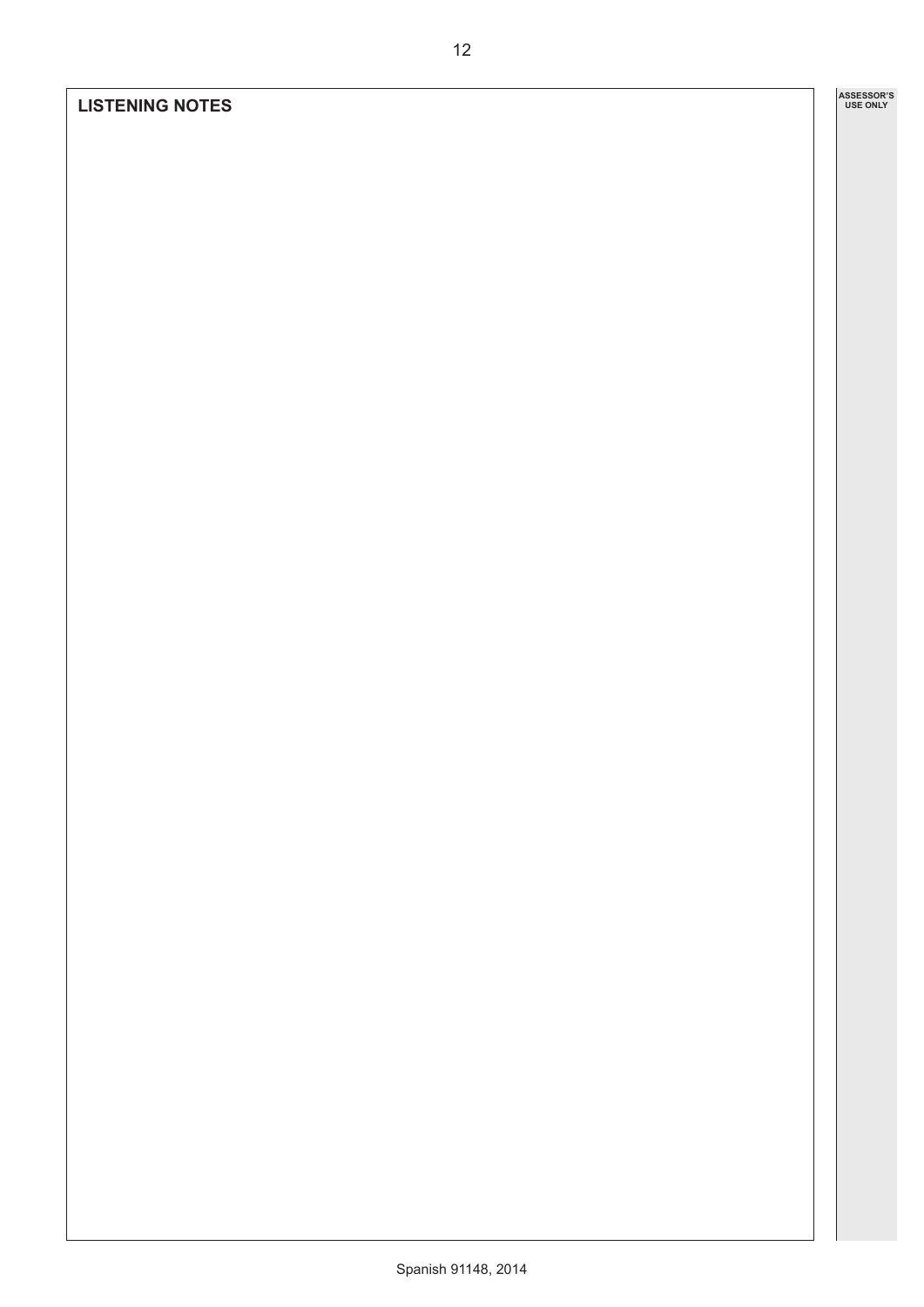#### **LISTENING NOTES**

**ASSESSOR'S USE ONLY**

12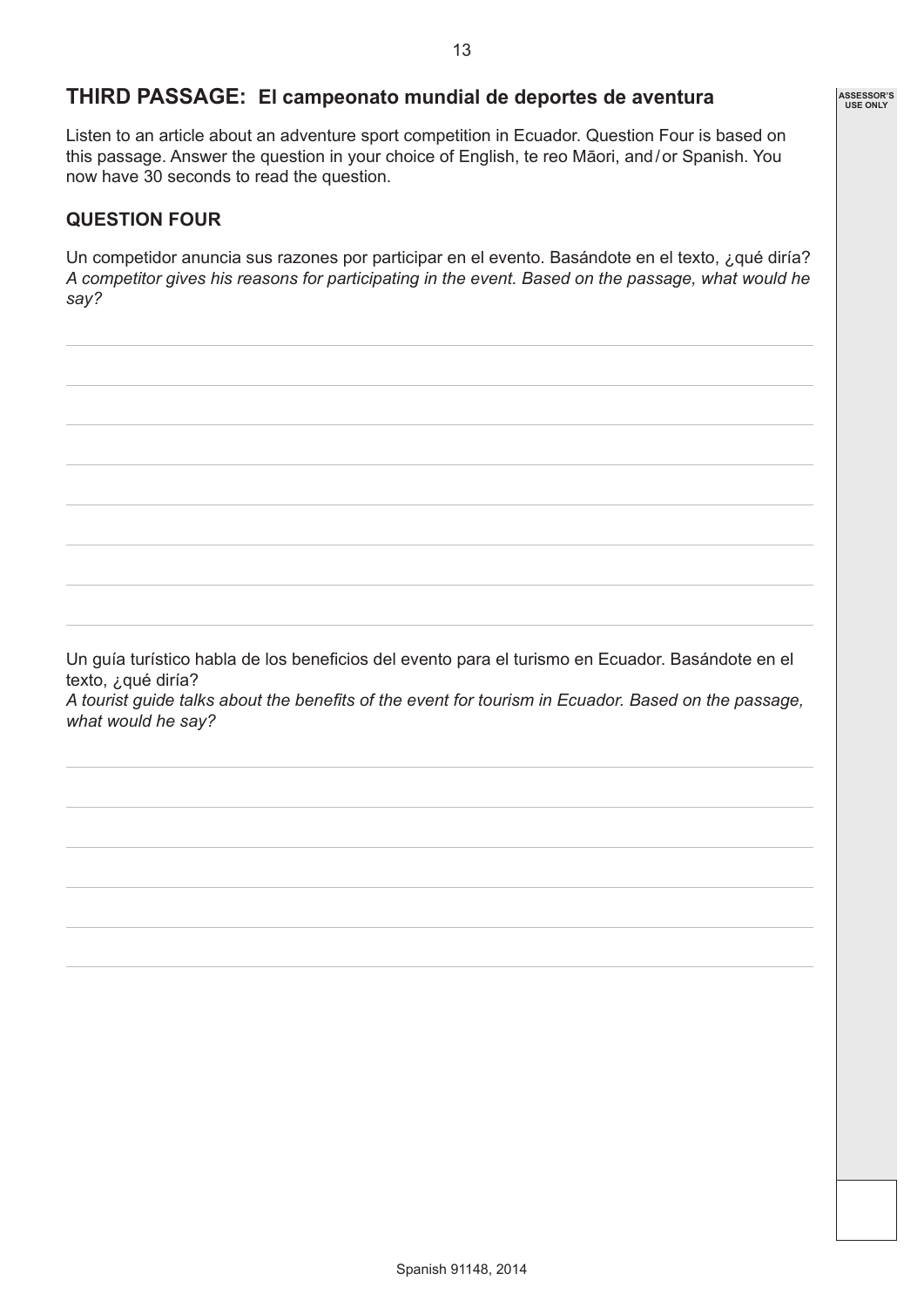**ASSESSOR'S USE ONLY**

# **THIRD PASSAGE: El campeonato mundial de deportes de aventura**

Listen to an article about an adventure sport competition in Ecuador. Question Four is based on this passage. Answer the question in your choice of English, te reo Māori, and/or Spanish. You now have 30 seconds to read the question.

#### **QUESTION FOUR**

Un competidor anuncia sus razones por participar en el evento. Basándote en el texto, ¿qué diría? *A competitor gives his reasons for participating in the event. Based on the passage, what would he say?*

Un guía turístico habla de los beneficios del evento para el turismo en Ecuador. Basándote en el texto, ¿qué diría? *A tourist guide talks about the benefits of the event for tourism in Ecuador. Based on the passage, what would he say?*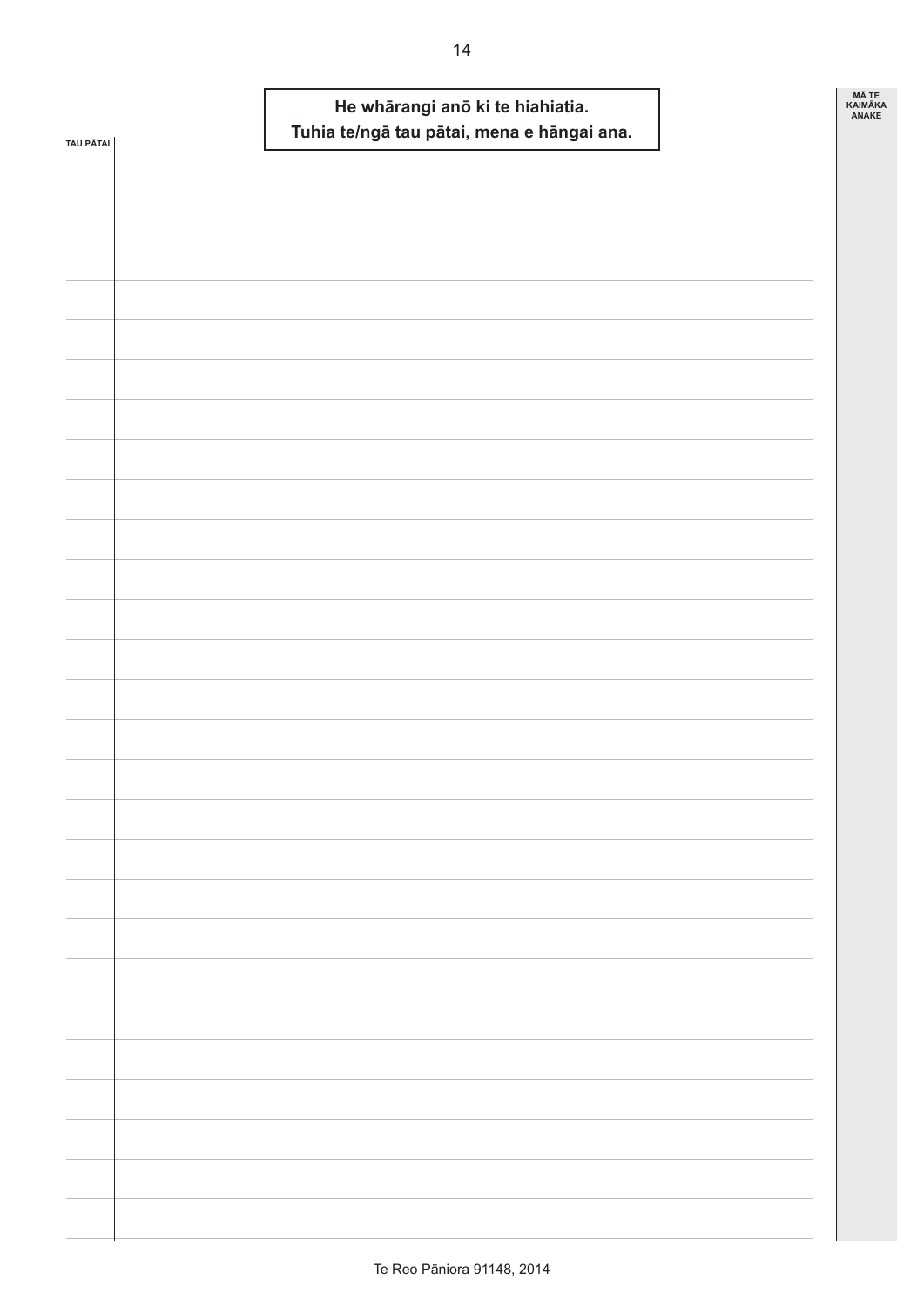| TAU PĀTAI | He whārangi anō ki te hiahiatia.<br>Tuhia te/ngā tau pātai, mena e hāngai ana. | <b>MÄTE</b><br>KAIMĀKA<br>ANAKE |
|-----------|--------------------------------------------------------------------------------|---------------------------------|
|           |                                                                                |                                 |
|           |                                                                                |                                 |
|           |                                                                                |                                 |
|           |                                                                                |                                 |
|           |                                                                                |                                 |
|           |                                                                                |                                 |
|           |                                                                                |                                 |
|           |                                                                                |                                 |
|           |                                                                                |                                 |
|           |                                                                                |                                 |
|           |                                                                                |                                 |
|           |                                                                                |                                 |
|           |                                                                                |                                 |
|           |                                                                                |                                 |
|           |                                                                                |                                 |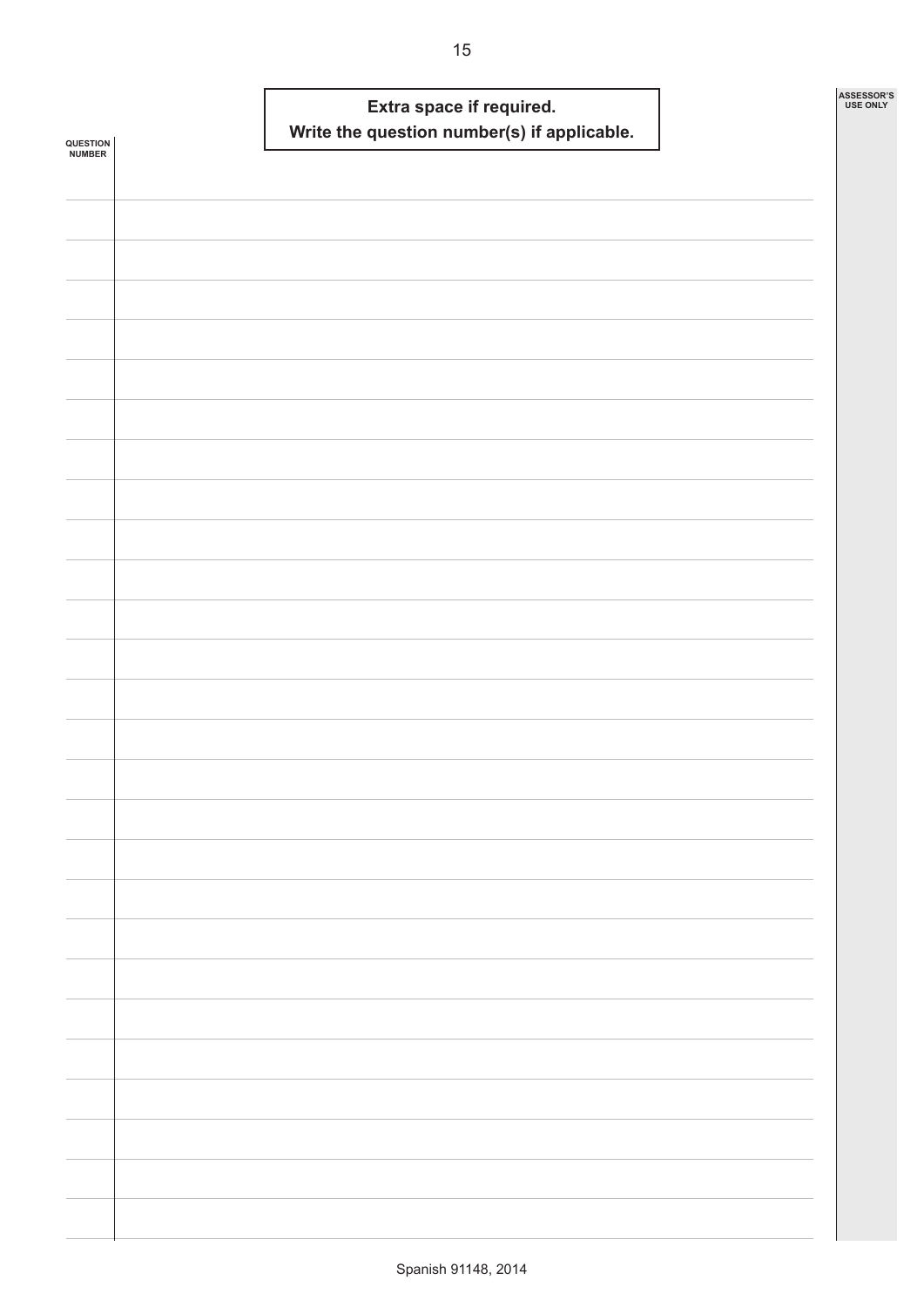|                            |  | Extra space if required. |                                             |  | ASSESSOR'S<br><b>USE ONLY</b> |
|----------------------------|--|--------------------------|---------------------------------------------|--|-------------------------------|
| <b>QUESTION<br/>NUMBER</b> |  |                          | Write the question number(s) if applicable. |  |                               |
|                            |  |                          |                                             |  |                               |
|                            |  |                          |                                             |  |                               |
|                            |  |                          |                                             |  |                               |
|                            |  |                          |                                             |  |                               |
|                            |  |                          |                                             |  |                               |
|                            |  |                          |                                             |  |                               |
|                            |  |                          |                                             |  |                               |
|                            |  |                          |                                             |  |                               |
|                            |  |                          |                                             |  |                               |
|                            |  |                          |                                             |  |                               |
|                            |  |                          |                                             |  |                               |
|                            |  |                          |                                             |  |                               |
|                            |  |                          |                                             |  |                               |
|                            |  |                          |                                             |  |                               |
|                            |  |                          |                                             |  |                               |
|                            |  |                          |                                             |  |                               |
|                            |  |                          |                                             |  |                               |
|                            |  |                          |                                             |  |                               |
|                            |  |                          |                                             |  |                               |
|                            |  |                          |                                             |  |                               |
|                            |  |                          |                                             |  |                               |
|                            |  |                          |                                             |  |                               |
|                            |  |                          |                                             |  |                               |
|                            |  |                          |                                             |  |                               |
|                            |  |                          |                                             |  |                               |
|                            |  |                          |                                             |  |                               |
|                            |  |                          |                                             |  |                               |
|                            |  |                          |                                             |  |                               |
|                            |  |                          |                                             |  |                               |